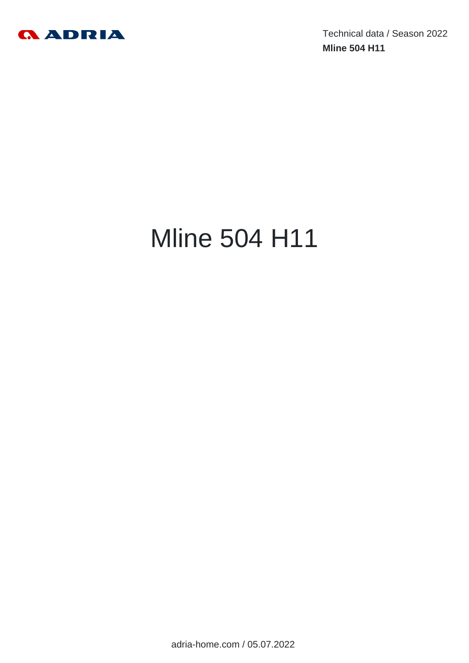

Technical data / Season 2022 **Mline 504 H11**

# Mline 504 H11

adria-home.com / 05.07.2022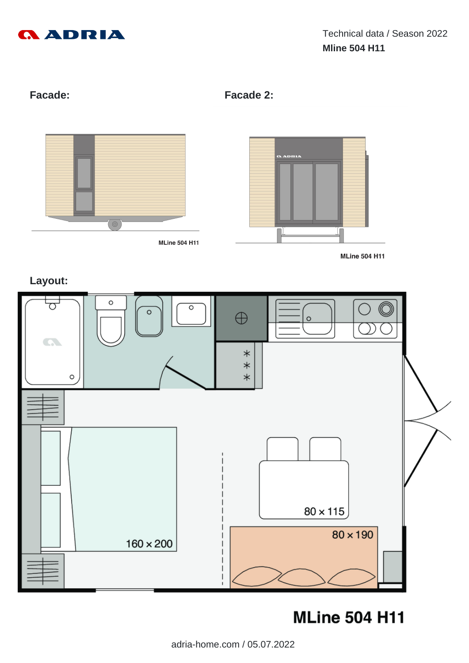

**Facade: Facade 2:**



**Layout:**



**MLine 504 H11**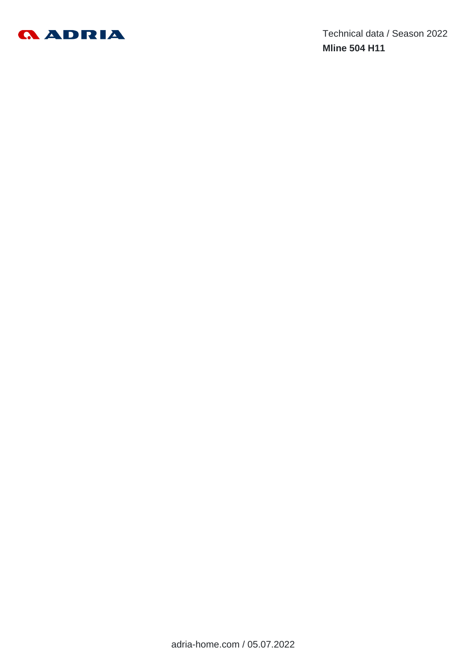

Technical data / Season 2022 **Mline 504 H11**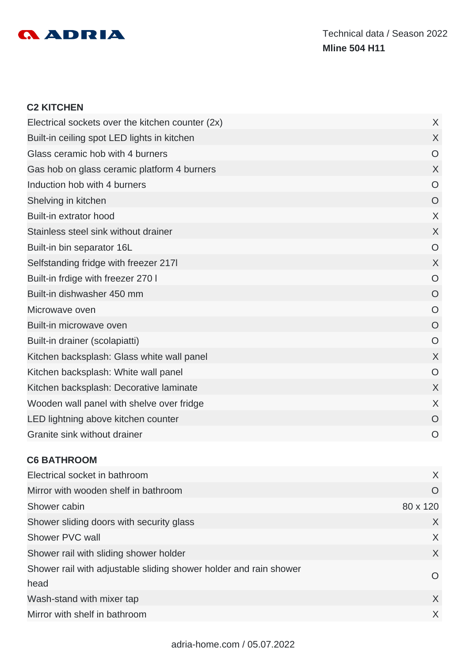## **A ADRIA**

#### **C2 KITCHEN**

| Electrical sockets over the kitchen counter (2x) | X              |
|--------------------------------------------------|----------------|
| Built-in ceiling spot LED lights in kitchen      | X              |
| Glass ceramic hob with 4 burners                 | $\overline{O}$ |
| Gas hob on glass ceramic platform 4 burners      | X              |
| Induction hob with 4 burners                     | $\overline{O}$ |
| Shelving in kitchen                              | O              |
| Built-in extrator hood                           | X              |
| Stainless steel sink without drainer             | X              |
| Built-in bin separator 16L                       | $\overline{O}$ |
| Selfstanding fridge with freezer 2171            | X              |
| Built-in frdige with freezer 270 I               | $\overline{O}$ |
| Built-in dishwasher 450 mm                       | $\overline{O}$ |
| Microwave oven                                   | $\overline{O}$ |
| Built-in microwave oven                          | $\overline{O}$ |
| Built-in drainer (scolapiatti)                   | O              |
| Kitchen backsplash: Glass white wall panel       | X              |
| Kitchen backsplash: White wall panel             | $\overline{O}$ |
| Kitchen backsplash: Decorative laminate          | X              |
| Wooden wall panel with shelve over fridge        | X              |
| LED lightning above kitchen counter              | $\Omega$       |
| Granite sink without drainer                     | $\circ$        |
|                                                  |                |

#### **C6 BATHROOM**

| Electrical socket in bathroom                                             | X        |
|---------------------------------------------------------------------------|----------|
| Mirror with wooden shelf in bathroom                                      | $\Omega$ |
| Shower cabin                                                              | 80 x 120 |
| Shower sliding doors with security glass                                  | X        |
| Shower PVC wall                                                           | X        |
| Shower rail with sliding shower holder                                    | X        |
| Shower rail with adjustable sliding shower holder and rain shower<br>head | $\Omega$ |
| Wash-stand with mixer tap                                                 | X        |
| Mirror with shelf in bathroom                                             | X        |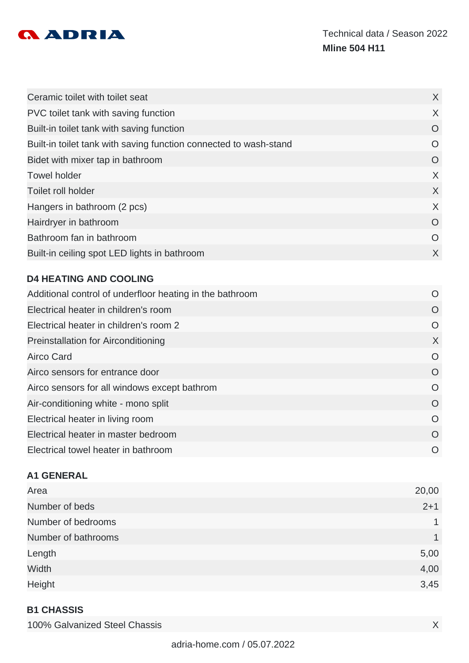

| Ceramic toilet with toilet seat                                   | $\chi$  |
|-------------------------------------------------------------------|---------|
| PVC toilet tank with saving function                              | X       |
| Built-in toilet tank with saving function                         | O       |
| Built-in toilet tank with saving function connected to wash-stand | O       |
| Bidet with mixer tap in bathroom                                  | $\circ$ |
| <b>Towel holder</b>                                               | X       |
| Toilet roll holder                                                | X       |
| Hangers in bathroom (2 pcs)                                       | X       |
| Hairdryer in bathroom                                             | O       |
| Bathroom fan in bathroom                                          | O       |
| Built-in ceiling spot LED lights in bathroom                      | X       |

### **D4 HEATING AND COOLING**

| Electrical heater in children's room<br>O<br>Electrical heater in children's room 2<br>$\Omega$<br>X<br><b>Preinstallation for Airconditioning</b><br>Airco Card<br>$\Omega$<br>Airco sensors for entrance door<br>O<br>Airco sensors for all windows except bathrom<br>$\Omega$<br>Air-conditioning white - mono split<br>$\Omega$<br>Electrical heater in living room<br>O<br>Electrical heater in master bedroom<br>$\Omega$<br>Electrical towel heater in bathroom<br>O | Additional control of underfloor heating in the bathroom | O |
|-----------------------------------------------------------------------------------------------------------------------------------------------------------------------------------------------------------------------------------------------------------------------------------------------------------------------------------------------------------------------------------------------------------------------------------------------------------------------------|----------------------------------------------------------|---|
|                                                                                                                                                                                                                                                                                                                                                                                                                                                                             |                                                          |   |
|                                                                                                                                                                                                                                                                                                                                                                                                                                                                             |                                                          |   |
|                                                                                                                                                                                                                                                                                                                                                                                                                                                                             |                                                          |   |
|                                                                                                                                                                                                                                                                                                                                                                                                                                                                             |                                                          |   |
|                                                                                                                                                                                                                                                                                                                                                                                                                                                                             |                                                          |   |
|                                                                                                                                                                                                                                                                                                                                                                                                                                                                             |                                                          |   |
|                                                                                                                                                                                                                                                                                                                                                                                                                                                                             |                                                          |   |
|                                                                                                                                                                                                                                                                                                                                                                                                                                                                             |                                                          |   |
|                                                                                                                                                                                                                                                                                                                                                                                                                                                                             |                                                          |   |
|                                                                                                                                                                                                                                                                                                                                                                                                                                                                             |                                                          |   |

#### **A1 GENERAL**

| Area                | 20,00   |
|---------------------|---------|
| Number of beds      | $2 + 1$ |
| Number of bedrooms  | 1       |
| Number of bathrooms | 1       |
| Length              | 5,00    |
| Width               | 4,00    |
| Height              | 3,45    |

#### **B1 CHASSIS**

100% Galvanized Steel Chassis X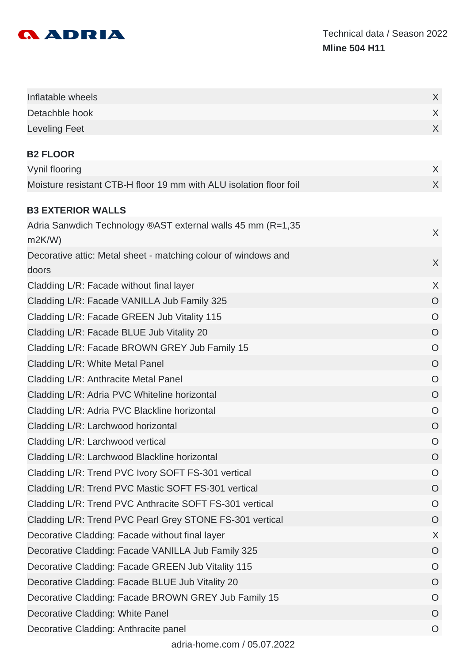

| Inflatable wheels                                                       | X              |
|-------------------------------------------------------------------------|----------------|
| Detachble hook                                                          | X              |
| <b>Leveling Feet</b>                                                    | X              |
| <b>B2 FLOOR</b>                                                         |                |
| Vynil flooring                                                          | X              |
| Moisture resistant CTB-H floor 19 mm with ALU isolation floor foil      | X              |
| <b>B3 EXTERIOR WALLS</b>                                                |                |
| Adria Sanwdich Technology ®AST external walls 45 mm (R=1,35<br>m2K/W    | $\chi$         |
| Decorative attic: Metal sheet - matching colour of windows and<br>doors | X              |
| Cladding L/R: Facade without final layer                                | X              |
| Cladding L/R: Facade VANILLA Jub Family 325                             | $\overline{O}$ |
| Cladding L/R: Facade GREEN Jub Vitality 115                             | $\circ$        |
| Cladding L/R: Facade BLUE Jub Vitality 20                               | $\circ$        |
| Cladding L/R: Facade BROWN GREY Jub Family 15                           | $\circ$        |
| Cladding L/R: White Metal Panel                                         | $\overline{O}$ |
| Cladding L/R: Anthracite Metal Panel                                    | $\circ$        |
| Cladding L/R: Adria PVC Whiteline horizontal                            | O              |
| Cladding L/R: Adria PVC Blackline horizontal                            | $\circ$        |
| Cladding L/R: Larchwood horizontal                                      | O              |
| Cladding L/R: Larchwood vertical                                        | O              |
| Cladding L/R: Larchwood Blackline horizontal                            | $\circ$        |
| Cladding L/R: Trend PVC Ivory SOFT FS-301 vertical                      | $\circ$        |
| Cladding L/R: Trend PVC Mastic SOFT FS-301 vertical                     | $\overline{O}$ |
| Cladding L/R: Trend PVC Anthracite SOFT FS-301 vertical                 | O              |
| Cladding L/R: Trend PVC Pearl Grey STONE FS-301 vertical                | $\overline{O}$ |
| Decorative Cladding: Facade without final layer                         | X              |
| Decorative Cladding: Facade VANILLA Jub Family 325                      | O              |
| Decorative Cladding: Facade GREEN Jub Vitality 115                      | $\circ$        |
| Decorative Cladding: Facade BLUE Jub Vitality 20                        | O              |
| Decorative Cladding: Facade BROWN GREY Jub Family 15                    | O              |
| Decorative Cladding: White Panel                                        | O              |
| Decorative Cladding: Anthracite panel                                   | $\circ$        |
|                                                                         |                |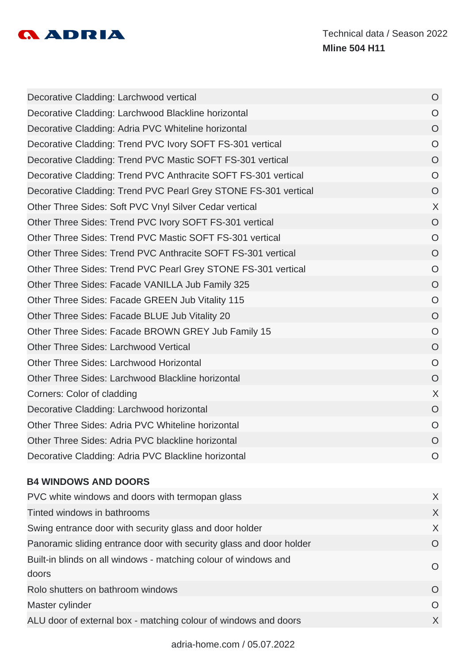

| Decorative Cladding: Larchwood vertical                         | $\circ$        |
|-----------------------------------------------------------------|----------------|
| Decorative Cladding: Larchwood Blackline horizontal             | $\overline{O}$ |
| Decorative Cladding: Adria PVC Whiteline horizontal             | $\overline{O}$ |
| Decorative Cladding: Trend PVC Ivory SOFT FS-301 vertical       | $\overline{O}$ |
| Decorative Cladding: Trend PVC Mastic SOFT FS-301 vertical      | $\overline{O}$ |
| Decorative Cladding: Trend PVC Anthracite SOFT FS-301 vertical  | $\overline{O}$ |
| Decorative Cladding: Trend PVC Pearl Grey STONE FS-301 vertical | $\overline{O}$ |
| Other Three Sides: Soft PVC Vnyl Silver Cedar vertical          | $\times$       |
| Other Three Sides: Trend PVC Ivory SOFT FS-301 vertical         | $\overline{O}$ |
| Other Three Sides: Trend PVC Mastic SOFT FS-301 vertical        | $\overline{O}$ |
| Other Three Sides: Trend PVC Anthracite SOFT FS-301 vertical    | $\overline{O}$ |
| Other Three Sides: Trend PVC Pearl Grey STONE FS-301 vertical   | $\overline{O}$ |
| Other Three Sides: Facade VANILLA Jub Family 325                | $\overline{O}$ |
| Other Three Sides: Facade GREEN Jub Vitality 115                | $\overline{O}$ |
| Other Three Sides: Facade BLUE Jub Vitality 20                  | $\overline{O}$ |
| Other Three Sides: Facade BROWN GREY Jub Family 15              | $\overline{O}$ |
| <b>Other Three Sides: Larchwood Vertical</b>                    | $\overline{O}$ |
| <b>Other Three Sides: Larchwood Horizontal</b>                  | $\overline{O}$ |
| Other Three Sides: Larchwood Blackline horizontal               | $\overline{O}$ |
| Corners: Color of cladding                                      | X              |
| Decorative Cladding: Larchwood horizontal                       | $\overline{O}$ |
| Other Three Sides: Adria PVC Whiteline horizontal               | $\overline{O}$ |
| Other Three Sides: Adria PVC blackline horizontal               | $\overline{O}$ |
| Decorative Cladding: Adria PVC Blackline horizontal             | $\overline{O}$ |
| <b>B4 WINDOWS AND DOORS</b>                                     |                |
|                                                                 |                |

| PVC white windows and doors with termopan glass                          | X.        |
|--------------------------------------------------------------------------|-----------|
| Tinted windows in bathrooms                                              | X         |
| Swing entrance door with security glass and door holder                  | X         |
| Panoramic sliding entrance door with security glass and door holder      | $\Omega$  |
| Built-in blinds on all windows - matching colour of windows and<br>doors | $\Omega$  |
| Rolo shutters on bathroom windows                                        | $\bigcap$ |
| Master cylinder                                                          | $\Omega$  |
| ALU door of external box - matching colour of windows and doors          | X         |
|                                                                          |           |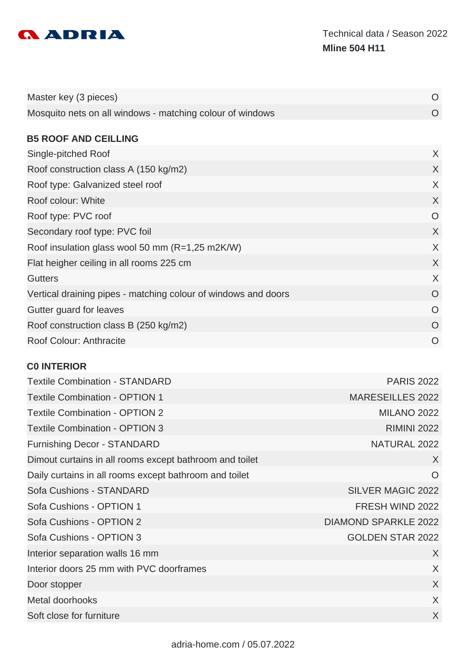

| Master key (3 pieces)                                          | O        |
|----------------------------------------------------------------|----------|
| Mosquito nets on all windows - matching colour of windows      | O        |
|                                                                |          |
| <b>B5 ROOF AND CEILLING</b>                                    |          |
| Single-pitched Roof                                            | $\sf X$  |
| Roof construction class A (150 kg/m2)                          | X        |
| Roof type: Galvanized steel roof                               | X        |
| Roof colour: White                                             | X        |
| Roof type: PVC roof                                            | $\circ$  |
| Secondary roof type: PVC foil                                  | X        |
| Roof insulation glass wool 50 mm (R=1,25 m2K/W)                | X        |
| Flat heigher ceiling in all rooms 225 cm                       | X        |
| <b>Gutters</b>                                                 | X        |
| Vertical draining pipes - matching colour of windows and doors | $\Omega$ |
| Gutter guard for leaves                                        | O        |
| Roof construction class B (250 kg/m2)                          | O        |
| Roof Colour: Anthracite                                        | O        |

#### **C0 INTERIOR**

| <b>Textile Combination - STANDARD</b>                   | <b>PARIS 2022</b>           |
|---------------------------------------------------------|-----------------------------|
| <b>Textile Combination - OPTION 1</b>                   | <b>MARESEILLES 2022</b>     |
| <b>Textile Combination - OPTION 2</b>                   | <b>MILANO 2022</b>          |
| <b>Textile Combination - OPTION 3</b>                   | <b>RIMINI 2022</b>          |
| <b>Furnishing Decor - STANDARD</b>                      | NATURAL 2022                |
| Dimout curtains in all rooms except bathroom and toilet | X                           |
| Daily curtains in all rooms except bathroom and toilet  | $\circ$                     |
| <b>Sofa Cushions - STANDARD</b>                         | <b>SILVER MAGIC 2022</b>    |
| Sofa Cushions - OPTION 1                                | FRESH WIND 2022             |
| Sofa Cushions - OPTION 2                                | <b>DIAMOND SPARKLE 2022</b> |
| Sofa Cushions - OPTION 3                                | <b>GOLDEN STAR 2022</b>     |
| Interior separation walls 16 mm                         | X                           |
| Interior doors 25 mm with PVC doorframes                | X                           |
| Door stopper                                            | X                           |
| Metal doorhooks                                         | X                           |
| Soft close for furniture                                | X                           |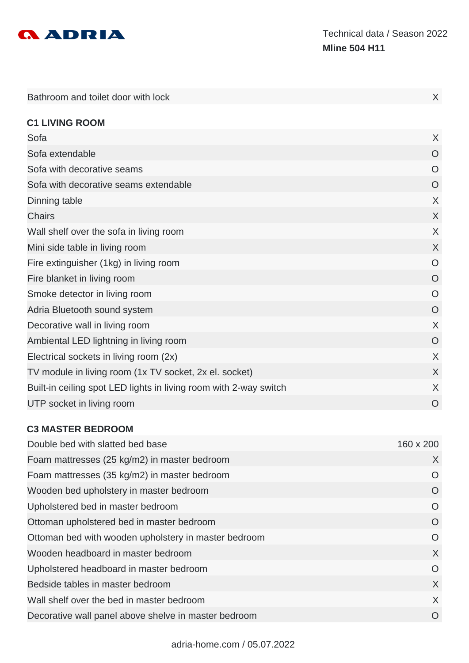

| Bathroom and toilet door with lock                                | $\sf X$        |
|-------------------------------------------------------------------|----------------|
| <b>C1 LIVING ROOM</b>                                             |                |
| Sofa                                                              | X              |
| Sofa extendable                                                   | $\overline{O}$ |
| Sofa with decorative seams                                        | $\overline{O}$ |
| Sofa with decorative seams extendable                             | $\overline{O}$ |
| Dinning table                                                     | X              |
| <b>Chairs</b>                                                     | X              |
| Wall shelf over the sofa in living room                           | X              |
| Mini side table in living room                                    | X              |
| Fire extinguisher (1kg) in living room                            | $\overline{O}$ |
| Fire blanket in living room                                       | $\overline{O}$ |
| Smoke detector in living room                                     | O              |
| Adria Bluetooth sound system                                      | O              |
| Decorative wall in living room                                    | X              |
| Ambiental LED lightning in living room                            | O              |
| Electrical sockets in living room (2x)                            | X              |
| TV module in living room (1x TV socket, 2x el. socket)            | $\sf X$        |
| Built-in ceiling spot LED lights in living room with 2-way switch | X              |
| UTP socket in living room                                         | $\overline{O}$ |

## **C3 MASTER BEDROOM**

| Double bed with slatted bed base                     | 160 x 200 |
|------------------------------------------------------|-----------|
| Foam mattresses (25 kg/m2) in master bedroom         | X         |
| Foam mattresses (35 kg/m2) in master bedroom         | O         |
| Wooden bed upholstery in master bedroom              | $\circ$   |
| Upholstered bed in master bedroom                    | $\circ$   |
| Ottoman upholstered bed in master bedroom            | $\circ$   |
| Ottoman bed with wooden upholstery in master bedroom | O         |
| Wooden headboard in master bedroom                   | X         |
| Upholstered headboard in master bedroom              | O         |
| Bedside tables in master bedroom                     | X         |
| Wall shelf over the bed in master bedroom            | X         |
| Decorative wall panel above shelve in master bedroom | $\Omega$  |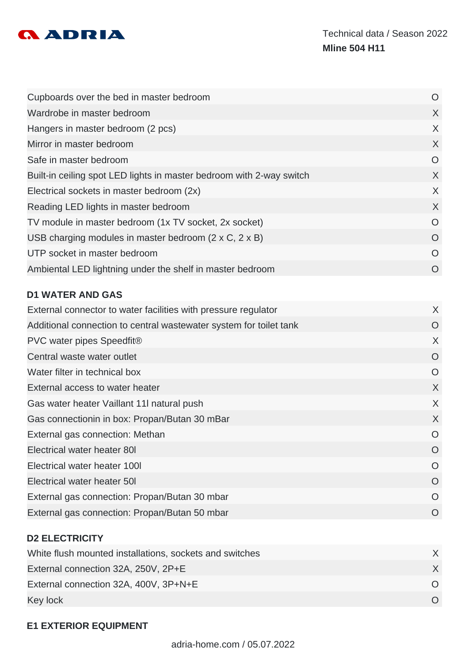

| Cupboards over the bed in master bedroom                             | O        |
|----------------------------------------------------------------------|----------|
| Wardrobe in master bedroom                                           | X        |
| Hangers in master bedroom (2 pcs)                                    | X        |
| Mirror in master bedroom                                             | X        |
| Safe in master bedroom                                               | O        |
| Built-in ceiling spot LED lights in master bedroom with 2-way switch | X        |
| Electrical sockets in master bedroom (2x)                            | X        |
| Reading LED lights in master bedroom                                 | X        |
| TV module in master bedroom (1x TV socket, 2x socket)                | $\Omega$ |
| USB charging modules in master bedroom $(2 \times C, 2 \times B)$    | $\Omega$ |
| UTP socket in master bedroom                                         | $\Omega$ |
| Ambiental LED lightning under the shelf in master bedroom            | O        |
|                                                                      |          |

#### **D1 WATER AND GAS**

| External connector to water facilities with pressure regulator     | X        |
|--------------------------------------------------------------------|----------|
| Additional connection to central wastewater system for toilet tank | O        |
| PVC water pipes Speedfit®                                          | X        |
| Central waste water outlet                                         | O        |
| Water filter in technical box                                      | O        |
| External access to water heater                                    | X        |
| Gas water heater Vaillant 11I natural push                         | X        |
| Gas connectionin in box: Propan/Butan 30 mBar                      | X        |
| External gas connection: Methan                                    | O        |
| Electrical water heater 80I                                        | O        |
| Electrical water heater 1001                                       | $\Omega$ |
| Electrical water heater 50                                         | O        |
| External gas connection: Propan/Butan 30 mbar                      | O        |
| External gas connection: Propan/Butan 50 mbar                      | O        |
|                                                                    |          |

#### **D2 ELECTRICITY**

| White flush mounted installations, sockets and switches |  |
|---------------------------------------------------------|--|
| External connection 32A, 250V, 2P+E                     |  |
| External connection 32A, 400V, 3P+N+E                   |  |
| Key lock                                                |  |

#### **E1 EXTERIOR EQUIPMENT**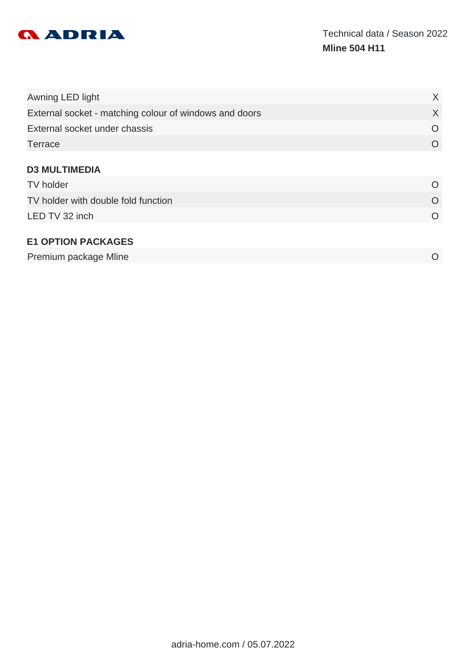

| Awning LED light                                       | X         |
|--------------------------------------------------------|-----------|
| External socket - matching colour of windows and doors | X         |
| External socket under chassis                          | $\bigcap$ |
| <b>Terrace</b>                                         | $\Omega$  |
|                                                        |           |
| <b>D3 MULTIMEDIA</b>                                   |           |
| <b>TV</b> holder                                       | $\Omega$  |
| TV holder with double fold function                    | $\Omega$  |
| LED TV 32 inch                                         | $\cap$    |
|                                                        |           |
| <b>E1 OPTION PACKAGES</b>                              |           |
| Premium package Mline                                  |           |